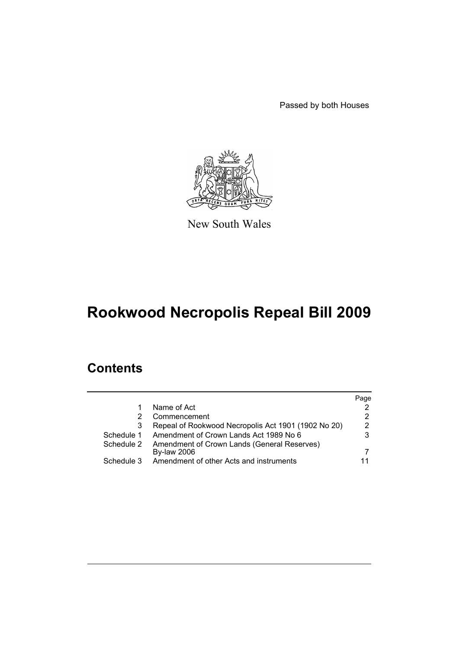Passed by both Houses



New South Wales

# **Rookwood Necropolis Repeal Bill 2009**

# **Contents**

|                                                     | Page |
|-----------------------------------------------------|------|
| Name of Act                                         | 2    |
| Commencement                                        | 2    |
| Repeal of Rookwood Necropolis Act 1901 (1902 No 20) | 2    |
| Amendment of Crown Lands Act 1989 No 6              | 3    |
| Amendment of Crown Lands (General Reserves)         |      |
| <b>By-law 2006</b>                                  |      |
| Amendment of other Acts and instruments             |      |
|                                                     |      |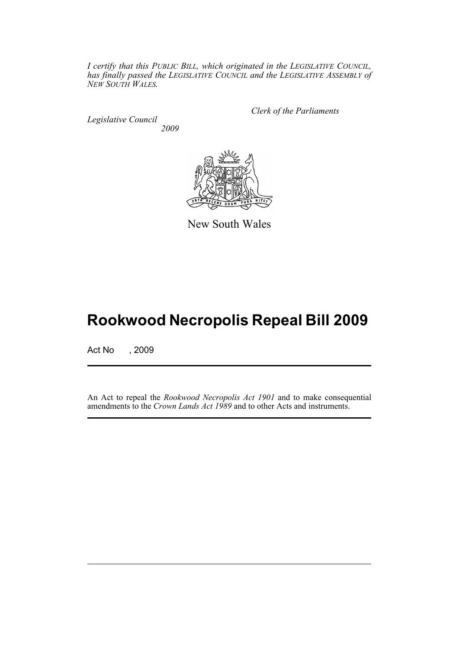*I certify that this PUBLIC BILL, which originated in the LEGISLATIVE COUNCIL, has finally passed the LEGISLATIVE COUNCIL and the LEGISLATIVE ASSEMBLY of NEW SOUTH WALES.*

*Legislative Council 2009* *Clerk of the Parliaments*



New South Wales

# **Rookwood Necropolis Repeal Bill 2009**

Act No , 2009

An Act to repeal the *Rookwood Necropolis Act 1901* and to make consequential amendments to the *Crown Lands Act 1989* and to other Acts and instruments.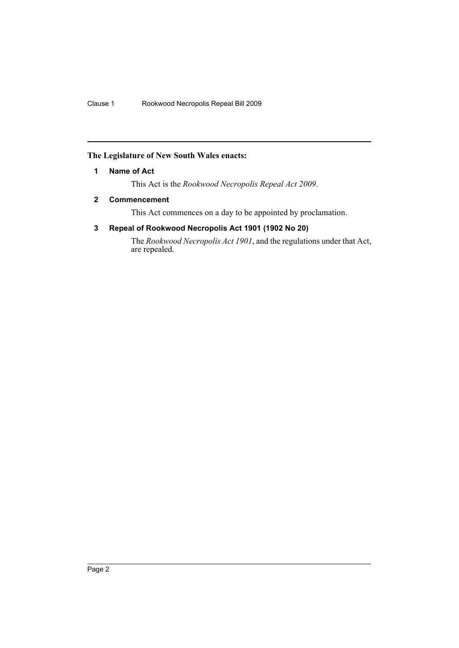## <span id="page-2-0"></span>**The Legislature of New South Wales enacts:**

## **1 Name of Act**

This Act is the *Rookwood Necropolis Repeal Act 2009*.

# <span id="page-2-1"></span>**2 Commencement**

This Act commences on a day to be appointed by proclamation.

# <span id="page-2-2"></span>**3 Repeal of Rookwood Necropolis Act 1901 (1902 No 20)**

The *Rookwood Necropolis Act 1901*, and the regulations under that Act, are repealed.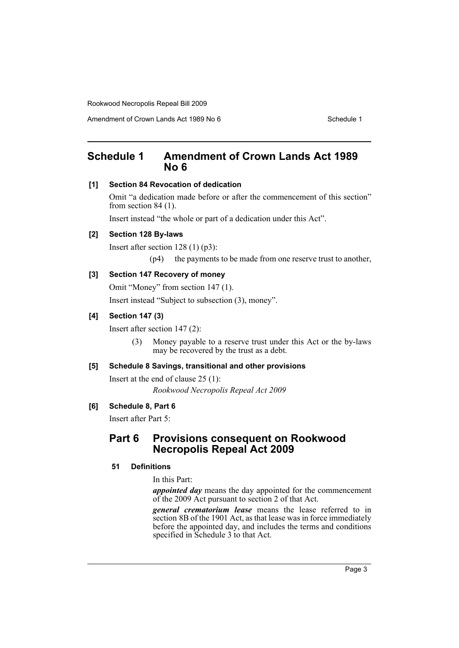# <span id="page-3-0"></span>**Schedule 1 Amendment of Crown Lands Act 1989 No 6**

## **[1] Section 84 Revocation of dedication**

Omit "a dedication made before or after the commencement of this section" from section 84 (1).

Insert instead "the whole or part of a dedication under this Act".

## **[2] Section 128 By-laws**

Insert after section 128 (1) (p3):

(p4) the payments to be made from one reserve trust to another,

# **[3] Section 147 Recovery of money**

Omit "Money" from section 147 (1). Insert instead "Subject to subsection (3), money".

## **[4] Section 147 (3)**

Insert after section 147 (2):

(3) Money payable to a reserve trust under this Act or the by-laws may be recovered by the trust as a debt.

# **[5] Schedule 8 Savings, transitional and other provisions**

Insert at the end of clause 25 (1): *Rookwood Necropolis Repeal Act 2009*

#### **[6] Schedule 8, Part 6**

Insert after Part 5:

# **Part 6 Provisions consequent on Rookwood Necropolis Repeal Act 2009**

## **51 Definitions**

In this Part:

*appointed day* means the day appointed for the commencement of the 2009 Act pursuant to section 2 of that Act.

*general crematorium lease* means the lease referred to in section 8B of the 1901 Act, as that lease was in force immediately before the appointed day, and includes the terms and conditions specified in Schedule 3 to that Act.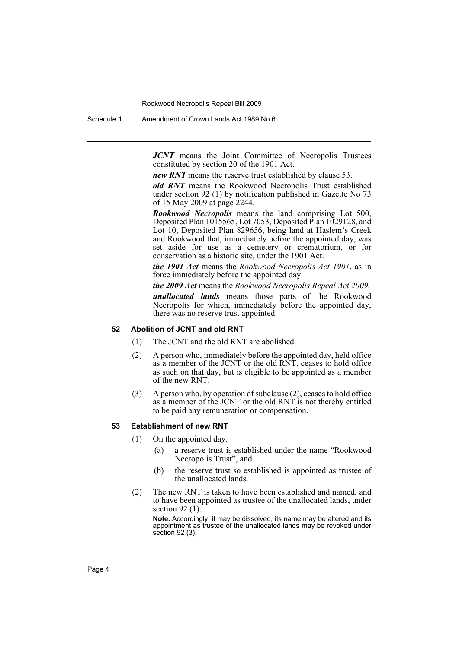Schedule 1 Amendment of Crown Lands Act 1989 No 6

*JCNT* means the Joint Committee of Necropolis Trustees constituted by section 20 of the 1901 Act.

*new RNT* means the reserve trust established by clause 53.

*old RNT* means the Rookwood Necropolis Trust established under section 92 (1) by notification published in Gazette No 73 of 15 May 2009 at page 2244.

*Rookwood Necropolis* means the land comprising Lot 500, Deposited Plan 1015565, Lot 7053, Deposited Plan 1029128, and Lot 10, Deposited Plan 829656, being land at Haslem's Creek and Rookwood that, immediately before the appointed day, was set aside for use as a cemetery or crematorium, or for conservation as a historic site, under the 1901 Act.

*the 1901 Act* means the *Rookwood Necropolis Act 1901*, as in force immediately before the appointed day.

*the 2009 Act* means the *Rookwood Necropolis Repeal Act 2009.*

*unallocated lands* means those parts of the Rookwood Necropolis for which, immediately before the appointed day, there was no reserve trust appointed.

#### **52 Abolition of JCNT and old RNT**

- (1) The JCNT and the old RNT are abolished.
- (2) A person who, immediately before the appointed day, held office as a member of the JCNT or the old RNT, ceases to hold office as such on that day, but is eligible to be appointed as a member of the new RNT.
- (3) A person who, by operation of subclause (2), ceases to hold office as a member of the JCNT or the old RNT is not thereby entitled to be paid any remuneration or compensation.

#### **53 Establishment of new RNT**

- (1) On the appointed day:
	- (a) a reserve trust is established under the name "Rookwood Necropolis Trust", and
	- (b) the reserve trust so established is appointed as trustee of the unallocated lands.
- (2) The new RNT is taken to have been established and named, and to have been appointed as trustee of the unallocated lands, under section 92 (1).

**Note.** Accordingly, it may be dissolved, its name may be altered and its appointment as trustee of the unallocated lands may be revoked under section 92 (3).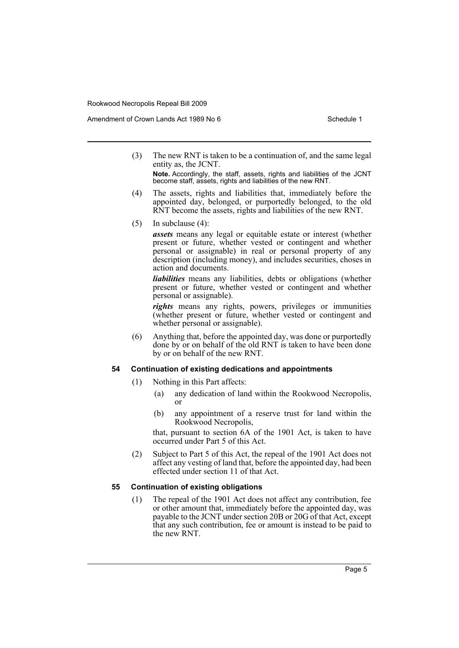Amendment of Crown Lands Act 1989 No 6 Schedule 1

(3) The new RNT is taken to be a continuation of, and the same legal entity as, the JCNT.

**Note.** Accordingly, the staff, assets, rights and liabilities of the JCNT become staff, assets, rights and liabilities of the new RNT.

- (4) The assets, rights and liabilities that, immediately before the appointed day, belonged, or purportedly belonged, to the old RNT become the assets, rights and liabilities of the new RNT.
- (5) In subclause (4):

*assets* means any legal or equitable estate or interest (whether present or future, whether vested or contingent and whether personal or assignable) in real or personal property of any description (including money), and includes securities, choses in action and documents.

*liabilities* means any liabilities, debts or obligations (whether present or future, whether vested or contingent and whether personal or assignable).

*rights* means any rights, powers, privileges or immunities (whether present or future, whether vested or contingent and whether personal or assignable).

(6) Anything that, before the appointed day, was done or purportedly done by or on behalf of the old RNT is taken to have been done by or on behalf of the new RNT.

#### **54 Continuation of existing dedications and appointments**

- (1) Nothing in this Part affects:
	- (a) any dedication of land within the Rookwood Necropolis, or
	- (b) any appointment of a reserve trust for land within the Rookwood Necropolis,

that, pursuant to section 6A of the 1901 Act, is taken to have occurred under Part 5 of this Act.

(2) Subject to Part 5 of this Act, the repeal of the 1901 Act does not affect any vesting of land that, before the appointed day, had been effected under section 11 of that Act.

#### **55 Continuation of existing obligations**

(1) The repeal of the 1901 Act does not affect any contribution, fee or other amount that, immediately before the appointed day, was payable to the JCNT under section 20B or 20G of that Act, except that any such contribution, fee or amount is instead to be paid to the new RNT.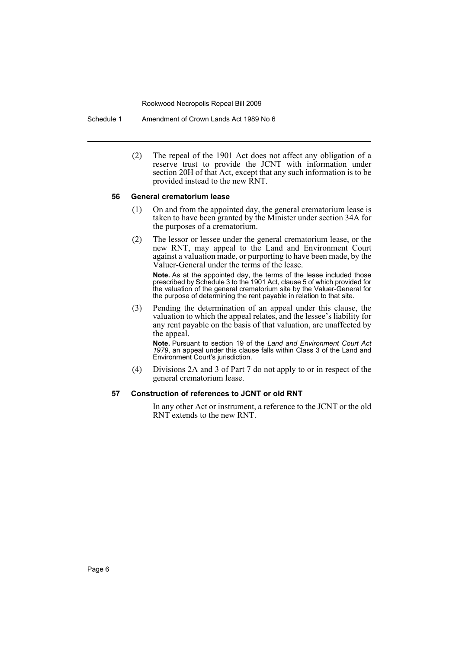Schedule 1 Amendment of Crown Lands Act 1989 No 6

(2) The repeal of the 1901 Act does not affect any obligation of a reserve trust to provide the JCNT with information under section 20H of that Act, except that any such information is to be provided instead to the new RNT.

#### **56 General crematorium lease**

- (1) On and from the appointed day, the general crematorium lease is taken to have been granted by the Minister under section 34A for the purposes of a crematorium.
- (2) The lessor or lessee under the general crematorium lease, or the new RNT, may appeal to the Land and Environment Court against a valuation made, or purporting to have been made, by the Valuer-General under the terms of the lease.

**Note.** As at the appointed day, the terms of the lease included those prescribed by Schedule 3 to the 1901 Act, clause 5 of which provided for the valuation of the general crematorium site by the Valuer-General for the purpose of determining the rent payable in relation to that site.

(3) Pending the determination of an appeal under this clause, the valuation to which the appeal relates, and the lessee's liability for any rent payable on the basis of that valuation, are unaffected by the appeal.

**Note.** Pursuant to section 19 of the *Land and Environment Court Act 1979*, an appeal under this clause falls within Class 3 of the Land and Environment Court's jurisdiction.

(4) Divisions 2A and 3 of Part 7 do not apply to or in respect of the general crematorium lease.

#### **57 Construction of references to JCNT or old RNT**

In any other Act or instrument, a reference to the JCNT or the old RNT extends to the new RNT.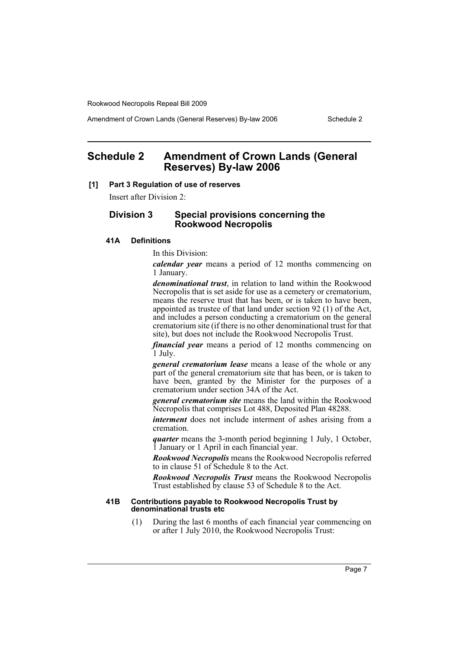Amendment of Crown Lands (General Reserves) By-law 2006 Schedule 2

# <span id="page-7-0"></span>**Schedule 2 Amendment of Crown Lands (General Reserves) By-law 2006**

#### **[1] Part 3 Regulation of use of reserves**

Insert after Division 2:

## **Division 3 Special provisions concerning the Rookwood Necropolis**

# **41A Definitions**

#### In this Division:

*calendar year* means a period of 12 months commencing on 1 January.

*denominational trust*, in relation to land within the Rookwood Necropolis that is set aside for use as a cemetery or crematorium, means the reserve trust that has been, or is taken to have been, appointed as trustee of that land under section 92 (1) of the Act, and includes a person conducting a crematorium on the general crematorium site (if there is no other denominational trust for that site), but does not include the Rookwood Necropolis Trust.

*financial year* means a period of 12 months commencing on 1 July.

*general crematorium lease* means a lease of the whole or any part of the general crematorium site that has been, or is taken to have been, granted by the Minister for the purposes of a crematorium under section 34A of the Act.

*general crematorium site* means the land within the Rookwood Necropolis that comprises Lot 488, Deposited Plan 48288.

*interment* does not include interment of ashes arising from a cremation.

*quarter* means the 3-month period beginning 1 July, 1 October, 1 January or 1 April in each financial year.

*Rookwood Necropolis* means the Rookwood Necropolis referred to in clause 51 of Schedule 8 to the Act.

*Rookwood Necropolis Trust* means the Rookwood Necropolis Trust established by clause 53 of Schedule 8 to the Act.

#### **41B Contributions payable to Rookwood Necropolis Trust by denominational trusts etc**

(1) During the last 6 months of each financial year commencing on or after 1 July 2010, the Rookwood Necropolis Trust: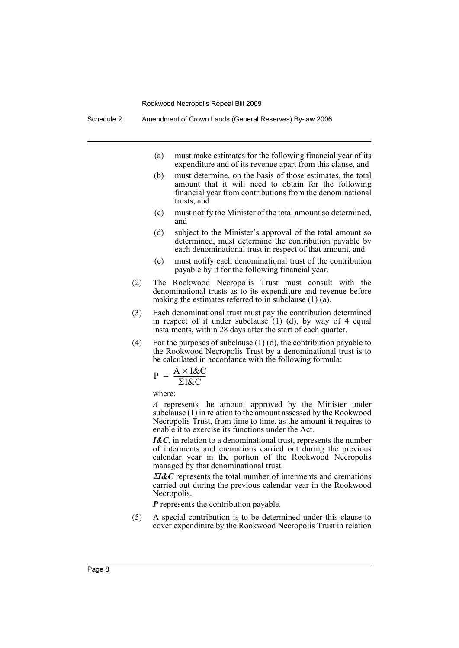Schedule 2 Amendment of Crown Lands (General Reserves) By-law 2006

- (a) must make estimates for the following financial year of its expenditure and of its revenue apart from this clause, and
- (b) must determine, on the basis of those estimates, the total amount that it will need to obtain for the following financial year from contributions from the denominational trusts, and
- (c) must notify the Minister of the total amount so determined, and
- (d) subject to the Minister's approval of the total amount so determined, must determine the contribution payable by each denominational trust in respect of that amount, and
- (e) must notify each denominational trust of the contribution payable by it for the following financial year.
- (2) The Rookwood Necropolis Trust must consult with the denominational trusts as to its expenditure and revenue before making the estimates referred to in subclause (1) (a).
- (3) Each denominational trust must pay the contribution determined in respect of it under subclause (1) (d), by way of 4 equal instalments, within 28 days after the start of each quarter.
- (4) For the purposes of subclause  $(1)$  (d), the contribution payable to the Rookwood Necropolis Trust by a denominational trust is to be calculated in accordance with the following formula:

$$
P = \frac{A \times I \& C}{\Sigma I \& C}
$$

where:

*A* represents the amount approved by the Minister under subclause (1) in relation to the amount assessed by the Rookwood Necropolis Trust, from time to time, as the amount it requires to enable it to exercise its functions under the Act.

*I&C*, in relation to a denominational trust, represents the number of interments and cremations carried out during the previous calendar year in the portion of the Rookwood Necropolis managed by that denominational trust.

<sup>Σ</sup>*I&C* represents the total number of interments and cremations carried out during the previous calendar year in the Rookwood Necropolis.

*P* represents the contribution payable.

(5) A special contribution is to be determined under this clause to cover expenditure by the Rookwood Necropolis Trust in relation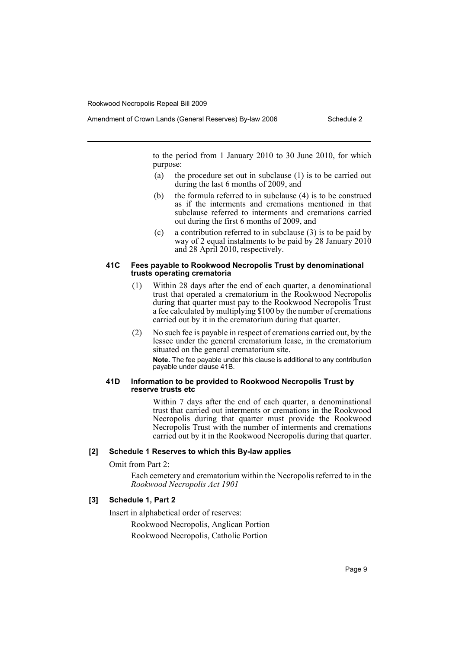Amendment of Crown Lands (General Reserves) By-law 2006 Schedule 2

to the period from 1 January 2010 to 30 June 2010, for which purpose:

- (a) the procedure set out in subclause (1) is to be carried out during the last 6 months of 2009, and
- (b) the formula referred to in subclause (4) is to be construed as if the interments and cremations mentioned in that subclause referred to interments and cremations carried out during the first 6 months of 2009, and
- (c) a contribution referred to in subclause (3) is to be paid by way of 2 equal instalments to be paid by 28 January 2010 and 28 April 2010, respectively.

#### **41C Fees payable to Rookwood Necropolis Trust by denominational trusts operating crematoria**

- (1) Within 28 days after the end of each quarter, a denominational trust that operated a crematorium in the Rookwood Necropolis during that quarter must pay to the Rookwood Necropolis Trust a fee calculated by multiplying \$100 by the number of cremations carried out by it in the crematorium during that quarter.
- (2) No such fee is payable in respect of cremations carried out, by the lessee under the general crematorium lease, in the crematorium situated on the general crematorium site.

**Note.** The fee payable under this clause is additional to any contribution payable under clause 41B.

#### **41D Information to be provided to Rookwood Necropolis Trust by reserve trusts etc**

Within 7 days after the end of each quarter, a denominational trust that carried out interments or cremations in the Rookwood Necropolis during that quarter must provide the Rookwood Necropolis Trust with the number of interments and cremations carried out by it in the Rookwood Necropolis during that quarter.

## **[2] Schedule 1 Reserves to which this By-law applies**

Omit from Part 2:

Each cemetery and crematorium within the Necropolis referred to in the *Rookwood Necropolis Act 1901*

## **[3] Schedule 1, Part 2**

Insert in alphabetical order of reserves:

Rookwood Necropolis, Anglican Portion

Rookwood Necropolis, Catholic Portion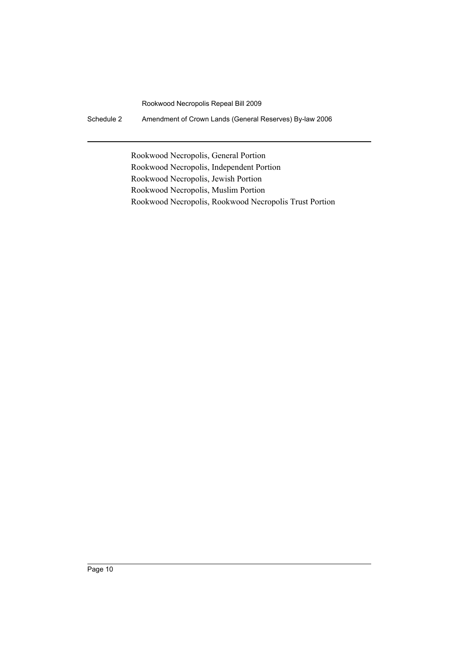Schedule 2 Amendment of Crown Lands (General Reserves) By-law 2006

Rookwood Necropolis, General Portion Rookwood Necropolis, Independent Portion Rookwood Necropolis, Jewish Portion Rookwood Necropolis, Muslim Portion Rookwood Necropolis, Rookwood Necropolis Trust Portion